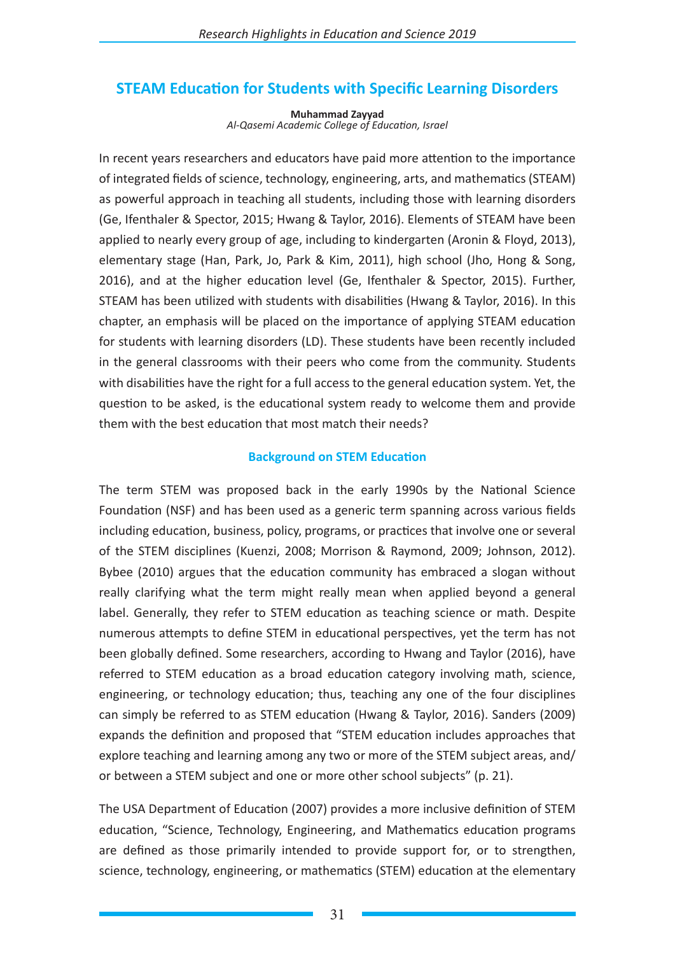# **STEAM Education for Students with Specific Learning Disorders**

**Muhammad Zayyad** *Al-Qasemi Academic College of Education, Israel*

In recent years researchers and educators have paid more attention to the importance of integrated fields of science, technology, engineering, arts, and mathematics (STEAM) as powerful approach in teaching all students, including those with learning disorders (Ge, Ifenthaler & Spector, 2015; Hwang & Taylor, 2016). Elements of STEAM have been applied to nearly every group of age, including to kindergarten (Aronin & Floyd, 2013), elementary stage (Han, Park, Jo, Park & Kim, 2011), high school (Jho, Hong & Song, 2016), and at the higher education level (Ge, Ifenthaler & Spector, 2015). Further, STEAM has been utilized with students with disabilities (Hwang & Taylor, 2016). In this chapter, an emphasis will be placed on the importance of applying STEAM education for students with learning disorders (LD). These students have been recently included in the general classrooms with their peers who come from the community. Students with disabilities have the right for a full access to the general education system. Yet, the question to be asked, is the educational system ready to welcome them and provide them with the best education that most match their needs?

#### **Background on STEM Education**

The term STEM was proposed back in the early 1990s by the National Science Foundation (NSF) and has been used as a generic term spanning across various fields including education, business, policy, programs, or practices that involve one or several of the STEM disciplines (Kuenzi, 2008; Morrison & Raymond, 2009; Johnson, 2012). Bybee (2010) argues that the education community has embraced a slogan without really clarifying what the term might really mean when applied beyond a general label. Generally, they refer to STEM education as teaching science or math. Despite numerous attempts to define STEM in educational perspectives, yet the term has not been globally defined. Some researchers, according to Hwang and Taylor (2016), have referred to STEM education as a broad education category involving math, science, engineering, or technology education; thus, teaching any one of the four disciplines can simply be referred to as STEM education (Hwang & Taylor, 2016). Sanders (2009) expands the definition and proposed that "STEM education includes approaches that explore teaching and learning among any two or more of the STEM subject areas, and/ or between a STEM subject and one or more other school subjects" (p. 21).

The USA Department of Education (2007) provides a more inclusive definition of STEM education, "Science, Technology, Engineering, and Mathematics education programs are defined as those primarily intended to provide support for, or to strengthen, science, technology, engineering, or mathematics (STEM) education at the elementary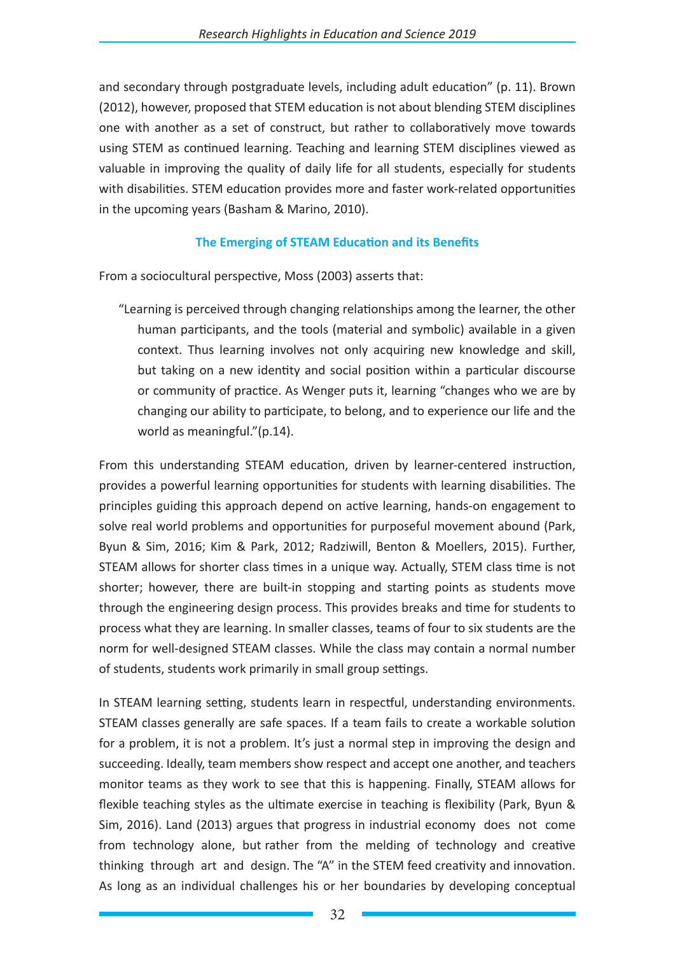and secondary through postgraduate levels, including adult education" (p. 11). Brown (2012), however, proposed that STEM education is not about blending STEM disciplines one with another as a set of construct, but rather to collaboratively move towards using STEM as continued learning. Teaching and learning STEM disciplines viewed as valuable in improving the quality of daily life for all students, especially for students with disabilities. STEM education provides more and faster work-related opportunities in the upcoming years (Basham & Marino, 2010).

## **The Emerging of STEAM Education and its Benefits**

From a sociocultural perspective, Moss (2003) asserts that:

"Learning is perceived through changing relationships among the learner, the other human participants, and the tools (material and symbolic) available in a given context. Thus learning involves not only acquiring new knowledge and skill, but taking on a new identity and social position within a particular discourse or community of practice. As Wenger puts it, learning "changes who we are by changing our ability to participate, to belong, and to experience our life and the world as meaningful."(p.14).

From this understanding STEAM education, driven by learner-centered instruction, provides a powerful learning opportunities for students with learning disabilities. The principles guiding this approach depend on active learning, hands-on engagement to solve real world problems and opportunities for purposeful movement abound (Park, Byun & Sim, 2016; Kim & Park, 2012; Radziwill, Benton & Moellers, 2015). Further, STEAM allows for shorter class times in a unique way. Actually, STEM class time is not shorter; however, there are built-in stopping and starting points as students move through the engineering design process. This provides breaks and time for students to process what they are learning. In smaller classes, teams of four to six students are the norm for well-designed STEAM classes. While the class may contain a normal number of students, students work primarily in small group settings.

In STEAM learning setting, students learn in respectful, understanding environments. STEAM classes generally are safe spaces. If a team fails to create a workable solution for a problem, it is not a problem. It's just a normal step in improving the design and succeeding. Ideally, team members show respect and accept one another, and teachers monitor teams as they work to see that this is happening. Finally, STEAM allows for flexible teaching styles as the ultimate exercise in teaching is flexibility (Park, Byun & Sim, 2016). Land (2013) argues that progress in industrial economy does not come from technology alone, but rather from the melding of technology and creative thinking through art and design. The "A" in the STEM feed creativity and innovation. As long as an individual challenges his or her boundaries by developing conceptual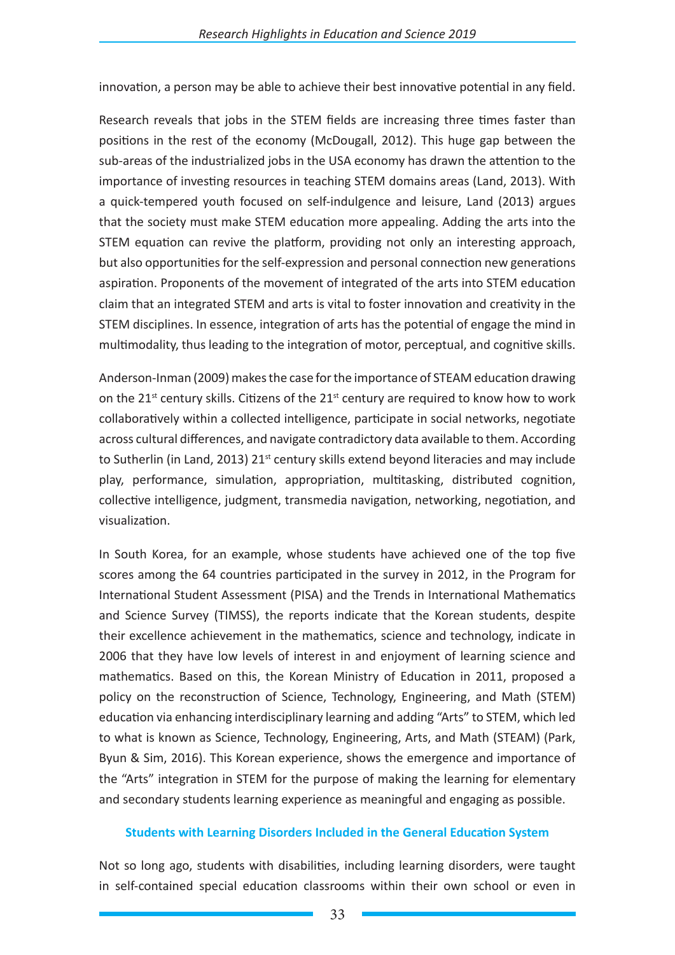innovation, a person may be able to achieve their best innovative potential in any field.

Research reveals that jobs in the STEM fields are increasing three times faster than positions in the rest of the economy (McDougall, 2012). This huge gap between the sub-areas of the industrialized jobs in the USA economy has drawn the attention to the importance of investing resources in teaching STEM domains areas (Land, 2013). With a quick-tempered youth focused on self-indulgence and leisure, Land (2013) argues that the society must make STEM education more appealing. Adding the arts into the STEM equation can revive the platform, providing not only an interesting approach, but also opportunities for the self-expression and personal connection new generations aspiration. Proponents of the movement of integrated of the arts into STEM education claim that an integrated STEM and arts is vital to foster innovation and creativity in the STEM disciplines. In essence, integration of arts has the potential of engage the mind in multimodality, thus leading to the integration of motor, perceptual, and cognitive skills.

Anderson-Inman (2009) makes the case for the importance of STEAM education drawing on the  $21^{st}$  century skills. Citizens of the  $21^{st}$  century are required to know how to work collaboratively within a collected intelligence, participate in social networks, negotiate across cultural differences, and navigate contradictory data available to them. According to Sutherlin (in Land, 2013) 21<sup>st</sup> century skills extend beyond literacies and may include play, performance, simulation, appropriation, multitasking, distributed cognition, collective intelligence, judgment, transmedia navigation, networking, negotiation, and visualization.

In South Korea, for an example, whose students have achieved one of the top five scores among the 64 countries participated in the survey in 2012, in the Program for International Student Assessment (PISA) and the Trends in International Mathematics and Science Survey (TIMSS), the reports indicate that the Korean students, despite their excellence achievement in the mathematics, science and technology, indicate in 2006 that they have low levels of interest in and enjoyment of learning science and mathematics. Based on this, the Korean Ministry of Education in 2011, proposed a policy on the reconstruction of Science, Technology, Engineering, and Math (STEM) education via enhancing interdisciplinary learning and adding "Arts" to STEM, which led to what is known as Science, Technology, Engineering, Arts, and Math (STEAM) (Park, Byun & Sim, 2016). This Korean experience, shows the emergence and importance of the "Arts" integration in STEM for the purpose of making the learning for elementary and secondary students learning experience as meaningful and engaging as possible.

## **Students with Learning Disorders Included in the General Education System**

Not so long ago, students with disabilities, including learning disorders, were taught in self-contained special education classrooms within their own school or even in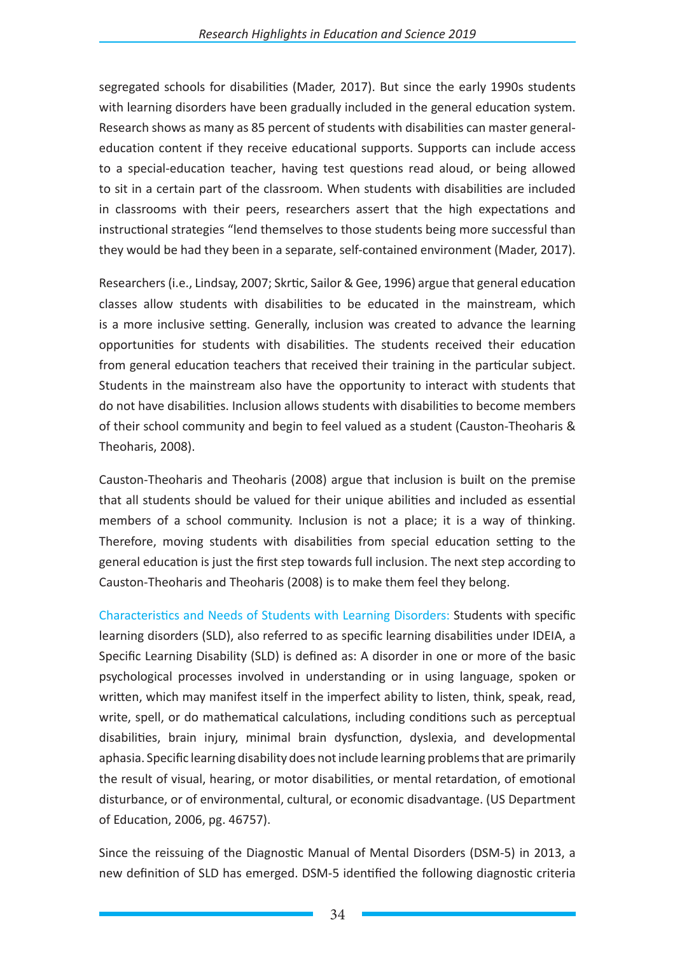segregated schools for disabilities (Mader, 2017). But since the early 1990s students with learning disorders have been gradually included in the general education system. Research shows as many as 85 percent of students with disabilities can master generaleducation content if they receive educational supports. Supports can include access to a special-education teacher, having test questions read aloud, or being allowed to sit in a certain part of the classroom. When students with disabilities are included in classrooms with their peers, researchers assert that the high expectations and instructional strategies "lend themselves to those students being more successful than they would be had they been in a separate, self-contained environment (Mader, 2017).

Researchers (i.e., Lindsay, 2007; Skrtic, Sailor & Gee, 1996) argue that general education classes allow students with disabilities to be educated in the mainstream, which is a more inclusive setting. Generally, inclusion was created to advance the learning opportunities for students with disabilities. The students received their education from general education teachers that received their training in the particular subject. Students in the mainstream also have the opportunity to interact with students that do not have disabilities. Inclusion allows students with disabilities to become members of their school community and begin to feel valued as a student (Causton-Theoharis & Theoharis, 2008).

Causton-Theoharis and Theoharis (2008) argue that inclusion is built on the premise that all students should be valued for their unique abilities and included as essential members of a school community. Inclusion is not a place; it is a way of thinking. Therefore, moving students with disabilities from special education setting to the general education is just the first step towards full inclusion. The next step according to Causton-Theoharis and Theoharis (2008) is to make them feel they belong.

Characteristics and Needs of Students with Learning Disorders: Students with specific learning disorders (SLD), also referred to as specific learning disabilities under IDEIA, a Specific Learning Disability (SLD) is defined as: A disorder in one or more of the basic psychological processes involved in understanding or in using language, spoken or written, which may manifest itself in the imperfect ability to listen, think, speak, read, write, spell, or do mathematical calculations, including conditions such as perceptual disabilities, brain injury, minimal brain dysfunction, dyslexia, and developmental aphasia. Specific learning disability does not include learning problems that are primarily the result of visual, hearing, or motor disabilities, or mental retardation, of emotional disturbance, or of environmental, cultural, or economic disadvantage. (US Department of Education, 2006, pg. 46757).

Since the reissuing of the Diagnostic Manual of Mental Disorders (DSM-5) in 2013, a new definition of SLD has emerged. DSM-5 identified the following diagnostic criteria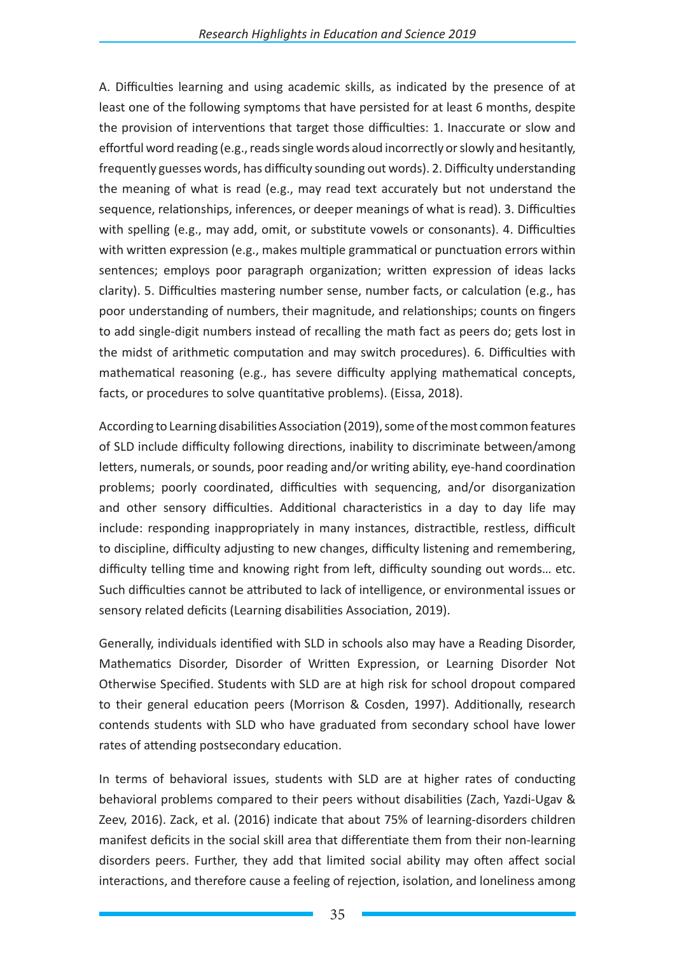A. Difficulties learning and using academic skills, as indicated by the presence of at least one of the following symptoms that have persisted for at least 6 months, despite the provision of interventions that target those difficulties: 1. Inaccurate or slow and effortful word reading (e.g., reads single words aloud incorrectly or slowly and hesitantly, frequently guesses words, has difficulty sounding out words). 2. Difficulty understanding the meaning of what is read (e.g., may read text accurately but not understand the sequence, relationships, inferences, or deeper meanings of what is read). 3. Difficulties with spelling (e.g., may add, omit, or substitute vowels or consonants). 4. Difficulties with written expression (e.g., makes multiple grammatical or punctuation errors within sentences; employs poor paragraph organization; written expression of ideas lacks clarity). 5. Difficulties mastering number sense, number facts, or calculation (e.g., has poor understanding of numbers, their magnitude, and relationships; counts on fingers to add single-digit numbers instead of recalling the math fact as peers do; gets lost in the midst of arithmetic computation and may switch procedures). 6. Difficulties with mathematical reasoning (e.g., has severe difficulty applying mathematical concepts, facts, or procedures to solve quantitative problems). (Eissa, 2018).

According to Learning disabilities Association (2019), some of the most common features of SLD include difficulty following directions, inability to discriminate between/among letters, numerals, or sounds, poor reading and/or writing ability, eye-hand coordination problems; poorly coordinated, difficulties with sequencing, and/or disorganization and other sensory difficulties. Additional characteristics in a day to day life may include: responding inappropriately in many instances, distractible, restless, difficult to discipline, difficulty adjusting to new changes, difficulty listening and remembering, difficulty telling time and knowing right from left, difficulty sounding out words… etc. Such difficulties cannot be attributed to lack of intelligence, or environmental issues or sensory related deficits (Learning disabilities Association, 2019).

Generally, individuals identified with SLD in schools also may have a Reading Disorder, Mathematics Disorder, Disorder of Written Expression, or Learning Disorder Not Otherwise Specified. Students with SLD are at high risk for school dropout compared to their general education peers (Morrison & Cosden, 1997). Additionally, research contends students with SLD who have graduated from secondary school have lower rates of attending postsecondary education.

In terms of behavioral issues, students with SLD are at higher rates of conducting behavioral problems compared to their peers without disabilities (Zach, Yazdi-Ugav & Zeev, 2016). Zack, et al. (2016) indicate that about 75% of learning-disorders children manifest deficits in the social skill area that differentiate them from their non-learning disorders peers. Further, they add that limited social ability may often affect social interactions, and therefore cause a feeling of rejection, isolation, and loneliness among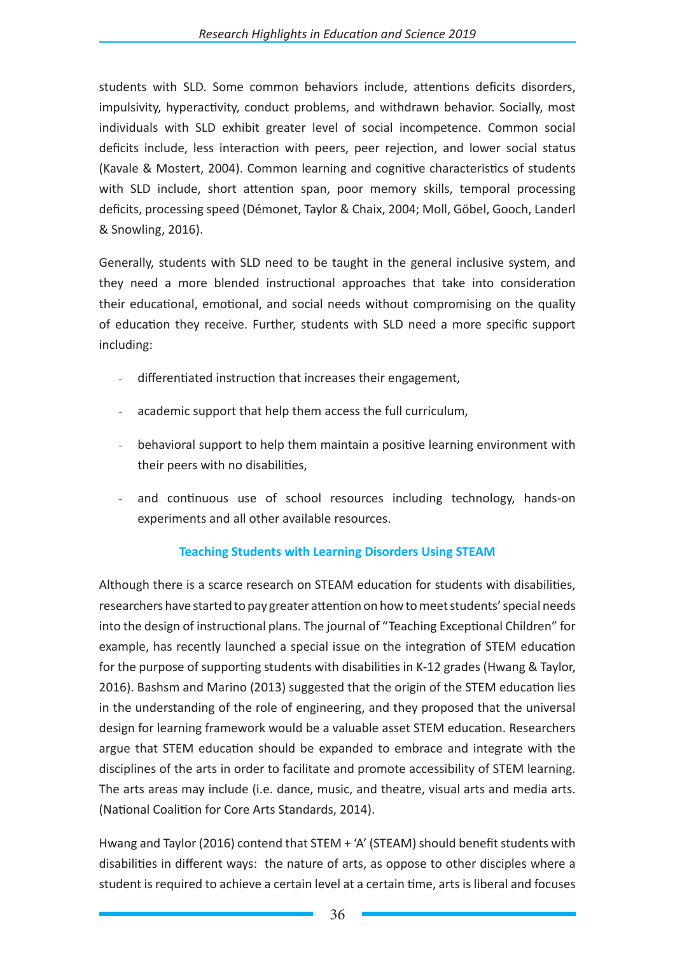students with SLD. Some common behaviors include, attentions deficits disorders, impulsivity, hyperactivity, conduct problems, and withdrawn behavior. Socially, most individuals with SLD exhibit greater level of social incompetence. Common social deficits include, less interaction with peers, peer rejection, and lower social status (Kavale & Mostert, 2004). Common learning and cognitive characteristics of students with SLD include, short attention span, poor memory skills, temporal processing deficits, processing speed (Démonet, Taylor & Chaix, 2004; Moll, Göbel, Gooch, Landerl & Snowling, 2016).

Generally, students with SLD need to be taught in the general inclusive system, and they need a more blended instructional approaches that take into consideration their educational, emotional, and social needs without compromising on the quality of education they receive. Further, students with SLD need a more specific support including:

- differentiated instruction that increases their engagement,
- academic support that help them access the full curriculum,
- behavioral support to help them maintain a positive learning environment with their peers with no disabilities,
- and continuous use of school resources including technology, hands-on experiments and all other available resources.

## **Teaching Students with Learning Disorders Using STEAM**

Although there is a scarce research on STEAM education for students with disabilities, researchers have started to pay greater attention on how to meet students' special needs into the design of instructional plans. The journal of "Teaching Exceptional Children" for example, has recently launched a special issue on the integration of STEM education for the purpose of supporting students with disabilities in K-12 grades (Hwang & Taylor, 2016). Bashsm and Marino (2013) suggested that the origin of the STEM education lies in the understanding of the role of engineering, and they proposed that the universal design for learning framework would be a valuable asset STEM education. Researchers argue that STEM education should be expanded to embrace and integrate with the disciplines of the arts in order to facilitate and promote accessibility of STEM learning. The arts areas may include (i.e. dance, music, and theatre, visual arts and media arts. (National Coalition for Core Arts Standards, 2014).

Hwang and Taylor (2016) contend that STEM + 'A' (STEAM) should benefit students with disabilities in different ways: the nature of arts, as oppose to other disciples where a student is required to achieve a certain level at a certain time, arts is liberal and focuses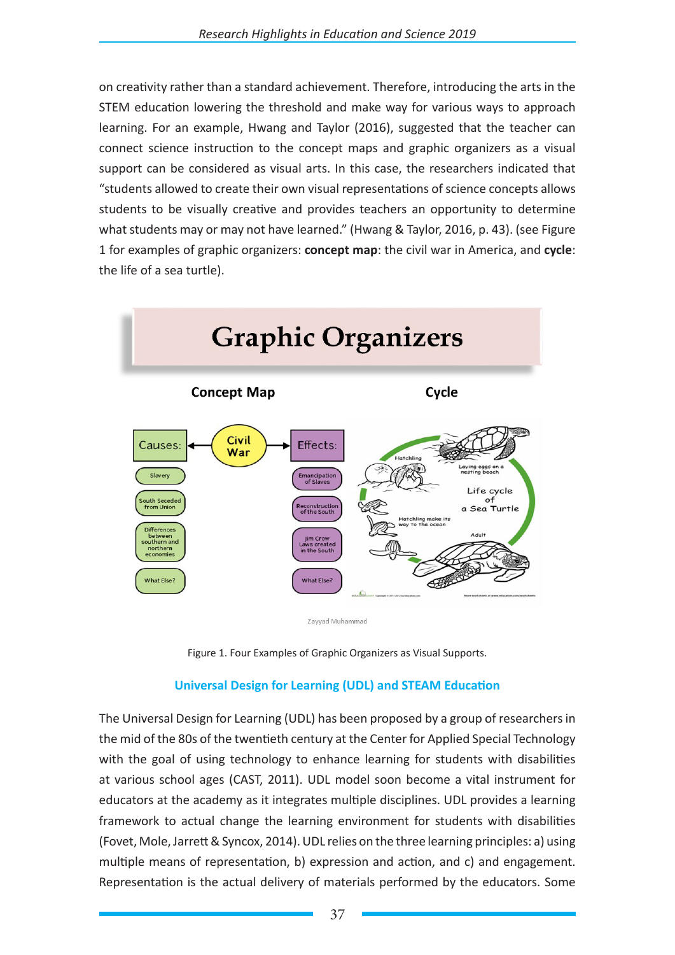on creativity rather than a standard achievement. Therefore, introducing the arts in the STEM education lowering the threshold and make way for various ways to approach learning. For an example, Hwang and Taylor (2016), suggested that the teacher can connect science instruction to the concept maps and graphic organizers as a visual support can be considered as visual arts. In this case, the researchers indicated that "students allowed to create their own visual representations of science concepts allows students to be visually creative and provides teachers an opportunity to determine what students may or may not have learned." (Hwang & Taylor, 2016, p. 43). (see Figure 1 for examples of graphic organizers: **concept map**: the civil war in America, and **cycle**: the life of a sea turtle).







## **Universal Design for Learning (UDL) and STEAM Education**

The Universal Design for Learning (UDL) has been proposed by a group of researchers in the mid of the 80s of the twentieth century at the Center for Applied Special Technology with the goal of using technology to enhance learning for students with disabilities at various school ages (CAST, 2011). UDL model soon become a vital instrument for educators at the academy as it integrates multiple disciplines. UDL provides a learning framework to actual change the learning environment for students with disabilities (Fovet, Mole, Jarrett & Syncox, 2014). UDL relies on the three learning principles: a) using multiple means of representation, b) expression and action, and c) and engagement. Representation is the actual delivery of materials performed by the educators. Some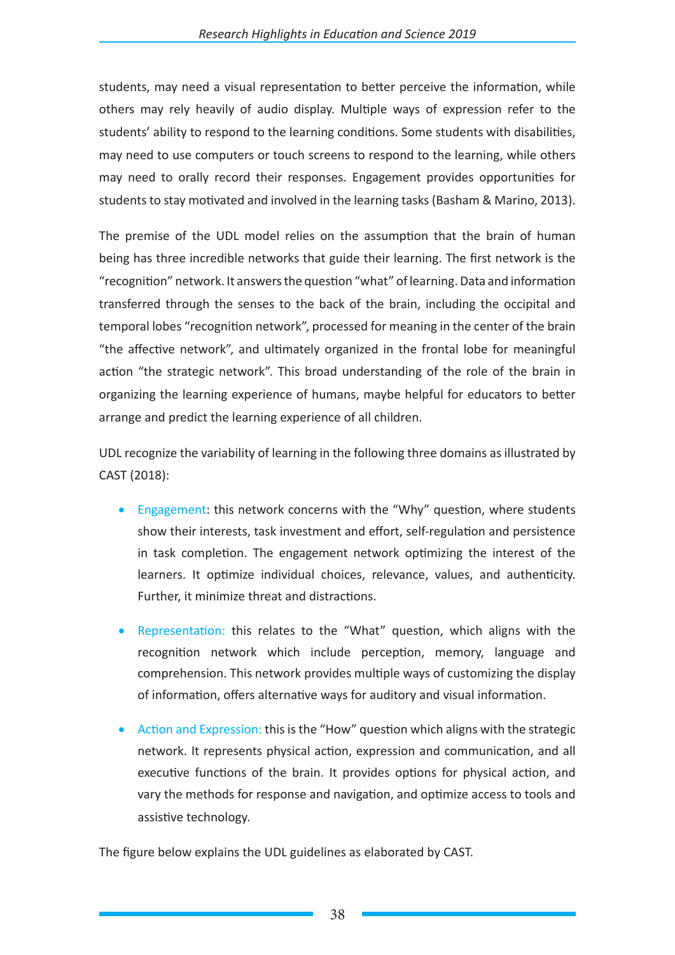students, may need a visual representation to better perceive the information, while others may rely heavily of audio display. Multiple ways of expression refer to the students' ability to respond to the learning conditions. Some students with disabilities, may need to use computers or touch screens to respond to the learning, while others may need to orally record their responses. Engagement provides opportunities for students to stay motivated and involved in the learning tasks (Basham & Marino, 2013).

The premise of the UDL model relies on the assumption that the brain of human being has three incredible networks that guide their learning. The first network is the "recognition" network. It answers the question "what" of learning. Data and information transferred through the senses to the back of the brain, including the occipital and temporal lobes "recognition network", processed for meaning in the center of the brain "the affective network", and ultimately organized in the frontal lobe for meaningful action "the strategic network". This broad understanding of the role of the brain in organizing the learning experience of humans, maybe helpful for educators to better arrange and predict the learning experience of all children.

UDL recognize the variability of learning in the following three domains as illustrated by CAST (2018):

- Engagement: this network concerns with the "Why" question, where students show their interests, task investment and effort, self-regulation and persistence in task completion. The engagement network optimizing the interest of the learners. It optimize individual choices, relevance, values, and authenticity. Further, it minimize threat and distractions.
- Representation: this relates to the "What" question, which aligns with the recognition network which include perception, memory, language and comprehension. This network provides multiple ways of customizing the display of information, offers alternative ways for auditory and visual information.
- Action and Expression: this is the "How" question which aligns with the strategic network. It represents physical action, expression and communication, and all executive functions of the brain. It provides options for physical action, and vary the methods for response and navigation, and optimize access to tools and assistive technology.

The figure below explains the UDL guidelines as elaborated by CAST.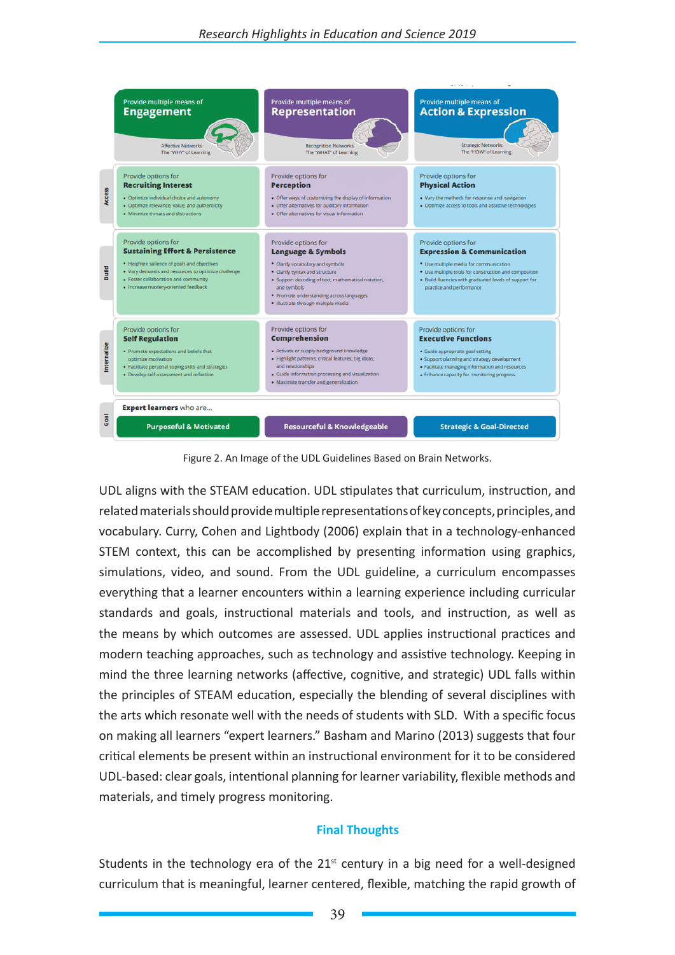

Figure 2. An Image of the UDL Guidelines Based on Brain Networks.

UDL aligns with the STEAM education. UDL stipulates that curriculum, instruction, and related materials should provide multiple representations of key concepts, principles, and vocabulary. Curry, Cohen and Lightbody (2006) explain that in a technology-enhanced STEM context, this can be accomplished by presenting information using graphics, simulations, video, and sound. From the UDL guideline, a curriculum encompasses everything that a learner encounters within a learning experience including curricular standards and goals, instructional materials and tools, and instruction, as well as the means by which outcomes are assessed. UDL applies instructional practices and modern teaching approaches, such as technology and assistive technology. Keeping in mind the three learning networks (affective, cognitive, and strategic) UDL falls within the principles of STEAM education, especially the blending of several disciplines with the arts which resonate well with the needs of students with SLD. With a specific focus on making all learners "expert learners." Basham and Marino (2013) suggests that four critical elements be present within an instructional environment for it to be considered UDL-based: clear goals, intentional planning for learner variability, flexible methods and materials, and timely progress monitoring.

## **Final Thoughts**

Students in the technology era of the  $21<sup>st</sup>$  century in a big need for a well-designed curriculum that is meaningful, learner centered, flexible, matching the rapid growth of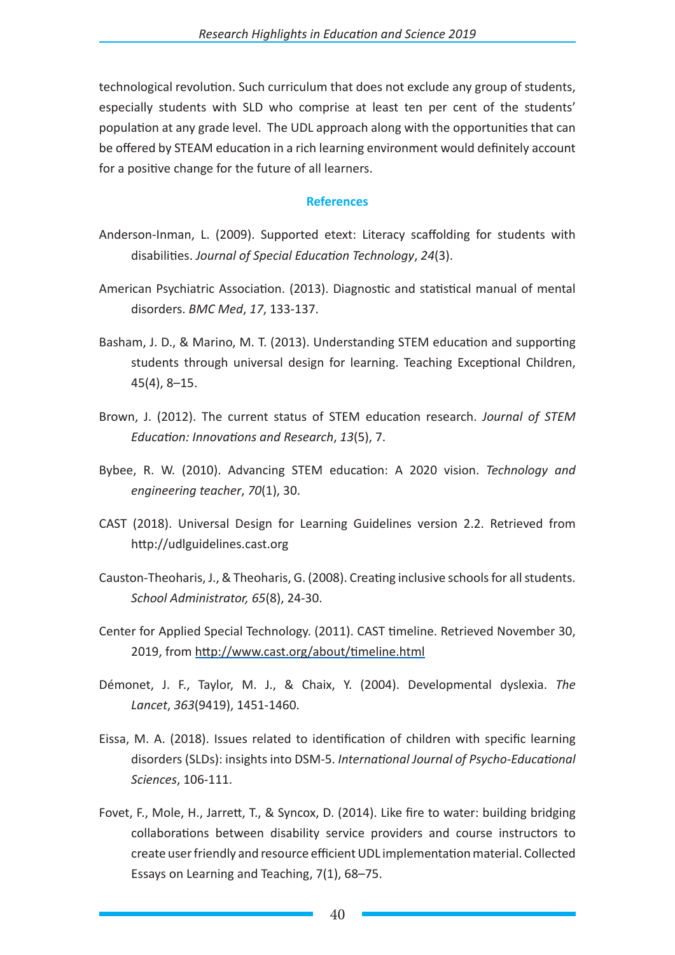technological revolution. Such curriculum that does not exclude any group of students, especially students with SLD who comprise at least ten per cent of the students' population at any grade level. The UDL approach along with the opportunities that can be offered by STEAM education in a rich learning environment would definitely account for a positive change for the future of all learners.

#### **References**

- Anderson-Inman, L. (2009). Supported etext: Literacy scaffolding for students with disabilities. *Journal of Special Education Technology*, *24*(3).
- American Psychiatric Association. (2013). Diagnostic and statistical manual of mental disorders. *BMC Med*, *17*, 133-137.
- Basham, J. D., & Marino, M. T. (2013). Understanding STEM education and supporting students through universal design for learning. Teaching Exceptional Children, 45(4), 8–15.
- Brown, J. (2012). The current status of STEM education research. *Journal of STEM Education: Innovations and Research*, *13*(5), 7.
- Bybee, R. W. (2010). Advancing STEM education: A 2020 vision. *Technology and engineering teacher*, *70*(1), 30.
- CAST (2018). Universal Design for Learning Guidelines version 2.2. Retrieved from http://udlguidelines.cast.org
- Causton-Theoharis, J., & Theoharis, G. (2008). Creating inclusive schools for all students. *School Administrator, 65*(8), 24-30.
- Center for Applied Special Technology. (2011). CAST timeline. Retrieved November 30, 2019, from http://www.cast.org/about/timeline.html
- Démonet, J. F., Taylor, M. J., & Chaix, Y. (2004). Developmental dyslexia. *The Lancet*, *363*(9419), 1451-1460.
- Eissa, M. A. (2018). Issues related to identification of children with specific learning disorders (SLDs): insights into DSM-5. *International Journal of Psycho-Educational Sciences*, 106-111.
- Fovet, F., Mole, H., Jarrett, T., & Syncox, D. (2014). Like fire to water: building bridging collaborations between disability service providers and course instructors to create user friendly and resource efficient UDL implementation material. Collected Essays on Learning and Teaching, 7(1), 68–75.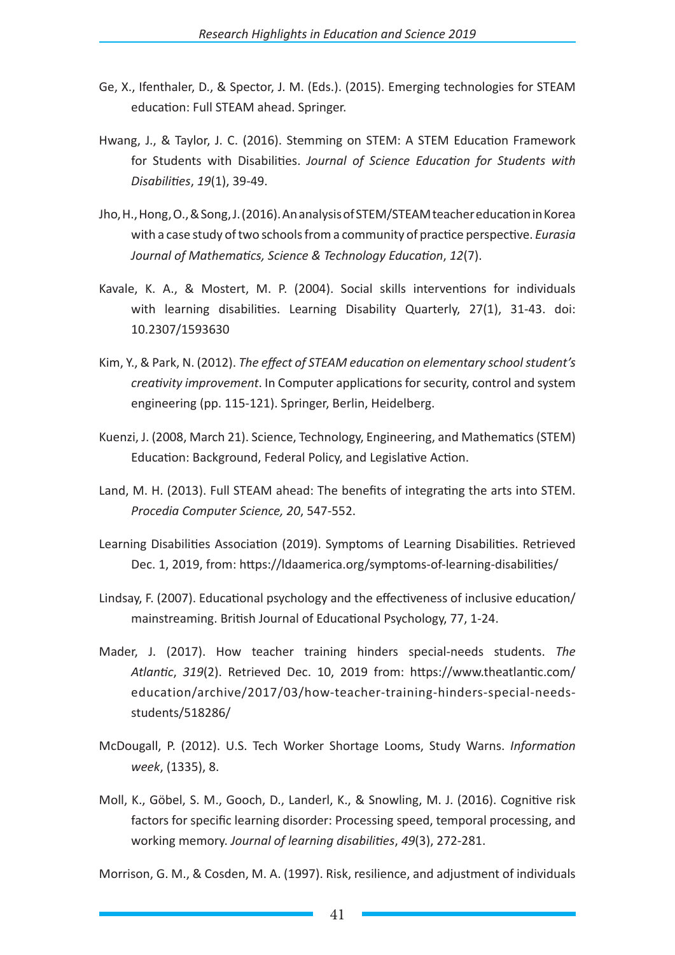- Ge, X., Ifenthaler, D., & Spector, J. M. (Eds.). (2015). Emerging technologies for STEAM education: Full STEAM ahead. Springer.
- Hwang, J., & Taylor, J. C. (2016). Stemming on STEM: A STEM Education Framework for Students with Disabilities. *Journal of Science Education for Students with Disabilities*, *19*(1), 39-49.
- Jho, H., Hong, O., & Song, J. (2016). An analysis of STEM/STEAM teacher education in Korea with a case study of two schools from a community of practice perspective. *Eurasia Journal of Mathematics, Science & Technology Education*, *12*(7).
- Kavale, K. A., & Mostert, M. P. (2004). Social skills interventions for individuals with learning disabilities. Learning Disability Quarterly, 27(1), 31-43. doi: 10.2307/1593630
- Kim, Y., & Park, N. (2012). *The effect of STEAM education on elementary school student's creativity improvement*. In Computer applications for security, control and system engineering (pp. 115-121). Springer, Berlin, Heidelberg.
- Kuenzi, J. (2008, March 21). Science, Technology, Engineering, and Mathematics (STEM) Education: Background, Federal Policy, and Legislative Action.
- Land, M. H. (2013). Full STEAM ahead: The benefits of integrating the arts into STEM. *Procedia Computer Science, 20*, 547-552.
- Learning Disabilities Association (2019). Symptoms of Learning Disabilities. Retrieved Dec. 1, 2019, from: https://ldaamerica.org/symptoms-of-learning-disabilities/
- Lindsay, F. (2007). Educational psychology and the effectiveness of inclusive education/ mainstreaming. British Journal of Educational Psychology, 77, 1-24.
- Mader, J. (2017). How teacher training hinders special-needs students. *The Atlantic*, *319*(2). Retrieved Dec. 10, 2019 from: https://www.theatlantic.com/ education/archive/2017/03/how-teacher-training-hinders-special-needsstudents/518286/
- McDougall, P. (2012). U.S. Tech Worker Shortage Looms, Study Warns. *Information week*, (1335), 8.
- Moll, K., Göbel, S. M., Gooch, D., Landerl, K., & Snowling, M. J. (2016). Cognitive risk factors for specific learning disorder: Processing speed, temporal processing, and working memory. *Journal of learning disabilities*, *49*(3), 272-281.

Morrison, G. M., & Cosden, M. A. (1997). Risk, resilience, and adjustment of individuals